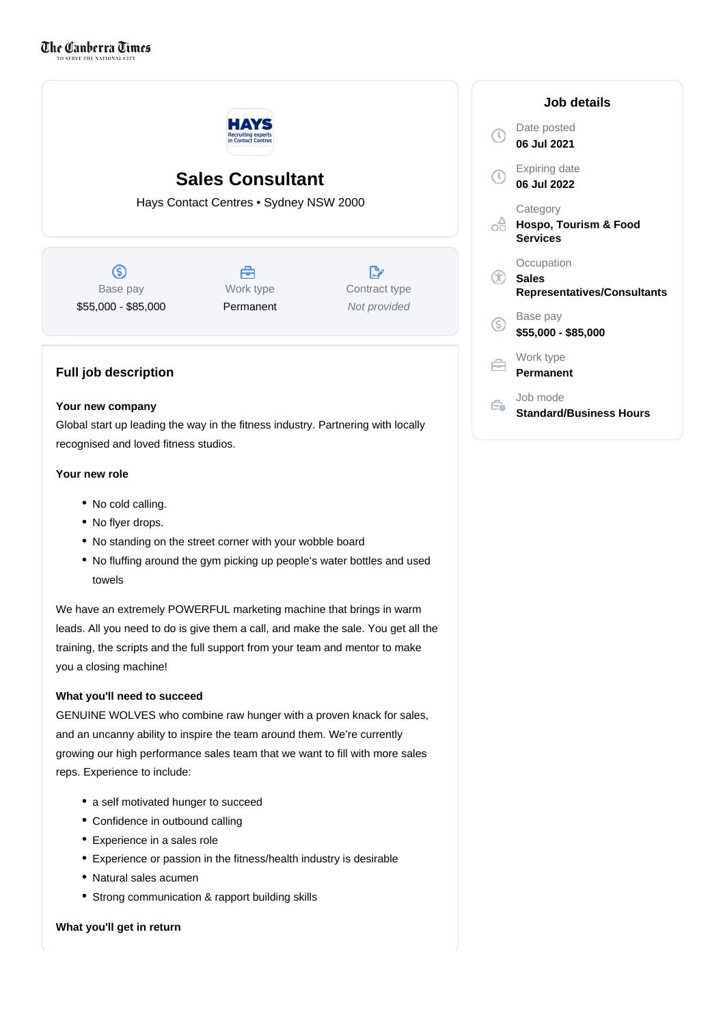

# **Sales Consultant**

Hays Contact Centres • Sydney NSW 2000

 $\circledS$ Base pay \$55,000 - \$85,000



 $\mathbb{R}^n$ Contract type Not provided

# **Full job description**

# **Your new company**

Global start up leading the way in the fitness industry. Partnering with locally recognised and loved fitness studios.

# **Your new role**

- No cold calling.
- No flyer drops.
- No standing on the street corner with your wobble board
- No fluffing around the gym picking up people's water bottles and used towels

We have an extremely POWERFUL marketing machine that brings in warm leads. All you need to do is give them a call, and make the sale. You get all the training, the scripts and the full support from your team and mentor to make you a closing machine!

# **What you'll need to succeed**

GENUINE WOLVES who combine raw hunger with a proven knack for sales, and an uncanny ability to inspire the team around them. We're currently growing our high performance sales team that we want to fill with more sales reps. Experience to include:

- a self motivated hunger to succeed
- Confidence in outbound calling
- Experience in a sales role
- Experience or passion in the fitness/health industry is desirable
- Natural sales acumen
- Strong communication & rapport building skills

# **What you'll get in return**

| Job details                                                      |
|------------------------------------------------------------------|
| Date posted<br>06 Jul 2021                                       |
| Expiring date<br>06 Jul 2022                                     |
| Category<br><b>Hospo, Tourism &amp; Food</b><br><b>Services</b>  |
| Occupation<br><b>Sales</b><br><b>Representatives/Consultants</b> |
| Base pay<br>\$55,000 - \$85,000                                  |
| Work type<br>Permanent                                           |
| Job mode<br>Standard/Business Hours                              |